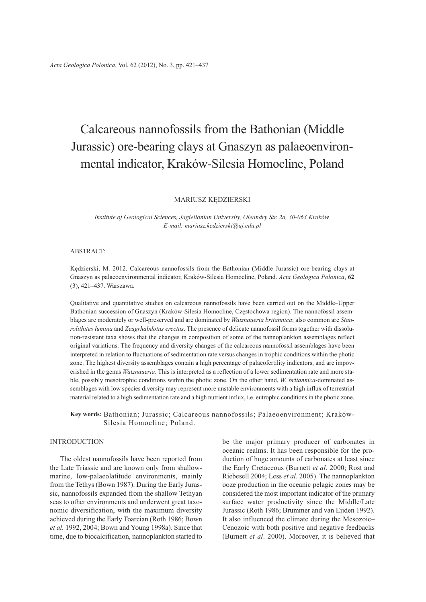# Calcareous nannofossils from the Bathonian (Middle Jurassic) ore-bearing clays at Gnaszyn as palaeoenvironmental indicator, Kraków-Silesia Homocline, Poland

# MARIUSZ KĘDZIERSKI

*Institute of Geological Sciences, Jagiellonian University, Oleandry Str. 2a, 30-063 Kraków. E-mail: mariusz.kedzierski@uj.edu.pl*

# ABSTRACT:

Kędzierski, M. 2012. Calcareous nannofossils from the Bathonian (Middle Jurassic) ore-bearing clays at Gnaszyn as palaeoenvironmental indicator, Kraków-Silesia Homocline, Poland. *Acta Geologica Polonica*, **62** (3), 421–437. Warszawa.

Qualitative and quantitative studies on calcareous nannofossils have been carried out on the Middle–Upper Bathonian succession of Gnaszyn (Kraków-Silesia Homocline, Częstochowa region). The nannofossil assemblages are moderately or well-preserved and are dominated by *Watznaueria britannica*; also common are *Staurolithites lumina* and *Zeugrhabdotus erectus*. The presence of delicate nannofossil forms together with dissolution-resistant taxa shows that the changes in composition of some of the nannoplankton assemblages reflect original variations. The frequency and diversity changes of the calcareous nannofossil assemblages have been interpreted in relation to fluctuations of sedimentation rate versus changes in trophic conditions within the photic zone. The highest diversity assemblages contain a high percentage of palaeofertility indicators, and are impoverished in the genus *Watznaueria*. This is interpreted as a reflection of a lower sedimentation rate and more stable, possibly mesotrophic conditions within the photic zone. On the other hand, *W. britannica*-dominated assemblages with low species diversity may represent more unstable environments with a high influx of terrestrial material related to a high sedimentation rate and a high nutrient influx, i.e. eutrophic conditions in the photic zone.

**Key words:** Bathonian; Jurassic; Calcareous nannofossils; Palaeoenvironment; Kraków-Silesia Homocline; Poland.

# INTRODUCTION

The oldest nannofossils have been reported from the Late Triassic and are known only from shallowmarine, low-palaeolatitude environments, mainly from the Tethys (Bown 1987). During the Early Jurassic, nannofossils expanded from the shallow Tethyan seas to other environments and underwent great taxonomic diversification, with the maximum diversity achieved during the Early Toarcian (Roth 1986; Bown *et al.* 1992, 2004; Bown and Young 1998a). Since that time, due to biocalcification, nannoplankton started to be the major primary producer of carbonates in oceanic realms. It has been responsible for the production of huge amounts of carbonates at least since the Early Cretaceous (Burnett *et al*. 2000; Rost and Riebesell 2004; Less *et al*. 2005). The nannoplankton ooze production in the oceanic pelagic zones may be considered the most important indicator of the primary surface water productivity since the Middle/Late Jurassic (Roth 1986; Brummer and van Eijden 1992). It also influenced the climate during the Mesozoic– Cenozoic with both positive and negative feedbacks (Burnett *et al*. 2000). Moreover, it is believed that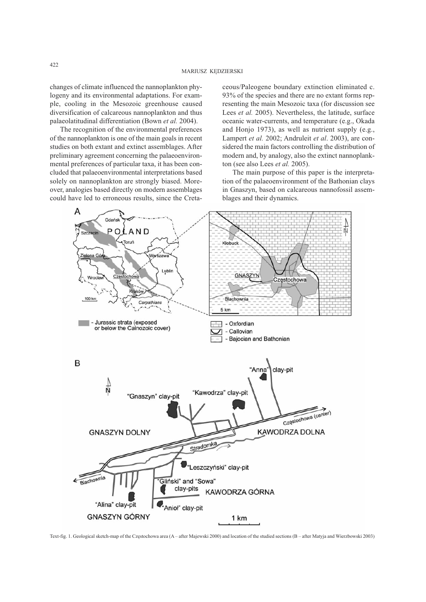changes of climate influenced the nannoplankton phylogeny and its environmental adaptations. For example, cooling in the Mesozoic greenhouse caused diversification of calcareous nannoplankton and thus palaeolatitudinal differentiation (Bown *et al.* 2004).

The recognition of the environmental preferences of the nannoplankton is one of the main goals in recent studies on both extant and extinct assemblages. After preliminary agreement concerning the palaeoenvironmental preferences of particular taxa, it has been concluded that palaeoenvironmental interpretations based solely on nannoplankton are strongly biased. Moreover, analogies based directly on modern assemblages could have led to erroneous results, since the Cretaceous/Paleogene boundary extinction eliminated c. 93% of the species and there are no extant forms representing the main Mesozoic taxa (for discussion see Lees *et al.* 2005). Nevertheless, the latitude, surface oceanic water-currents, and temperature (e.g., Okada and Honjo 1973), as well as nutrient supply (e.g., Lampert *et al.* 2002; Andruleit *et al*. 2003), are considered the main factors controlling the distribution of modern and, by analogy, also the extinct nannoplankton (see also Lees *et al.* 2005).

The main purpose of this paper is the interpretation of the palaeoenvironment of the Bathonian clays in Gnaszyn, based on calcareous nannofossil assemblages and their dynamics.



Text-fig. 1. Geological sketch-map of the Częstochowa area (A – after Majewski 2000) and location of the studied sections (B – after Matyja and Wierzbowski 2003)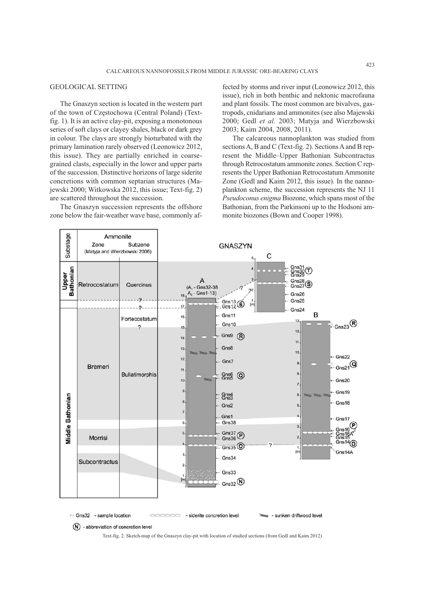# GEOLOGICAL SETTING

The Gnaszyn section is located in the western part of the town of Częstochowa (Central Poland) (Textfig. 1). It is an active clay-pit, exposing a monotonous series of soft clays or clayey shales, black or dark grey in colour. The clays are strongly bioturbated with the primary lamination rarely observed (Leonowicz 2012, this issue). They are partially enriched in coarsegrained clasts, especially in the lower and upper parts of the succession. Distinctive horizons of large siderite concretions with common septarian structures (Majewski 2000; Witkowska 2012, this issue; Text-fig. 2) are scattered throughout the succession.

The Gnaszyn succession represents the offshore zone below the fair-weather wave base, commonly af-

fected by storms and river input (Leonowicz 2012, this issue), rich in both benthic and nektonic macrofauna and plant fossils. The most common are bivalves, gastropods, cnidarians and ammonites (see also Majewski 2000; Gedl *et al.* 2003; Matyja and Wierzbowski 2003; Kaim 2004, 2008, 2011).

The calcareous nannoplankton was studied from sections A, B and C (Text-fig. 2). Sections A and B represent the Middle–Upper Bathonian Subcontractus through Retrocostatum ammonite zones. Section C represents the Upper Bathonian Retrocostatum Ammonite Zone (Gedl and Kaim 2012, this issue). In the nannoplankton scheme, the succession represents the NJ 11 *Pseudoconus enigma* Biozone, which spans most of the Bathonian, from the Parkinsoni up to the Hodsoni ammonite biozones (Bown and Cooper 1998).



- Gns32 - sample location - siderite concretion level - sunken driftwood level  $\sim$ 

 $\mathbf{\widehat{N}}$  - abbreviation of concretion level

Text-fig. 2. Sketch-map of the Gnaszyn clay-pit with location of studied sections (from Gedl and Kaim 2012)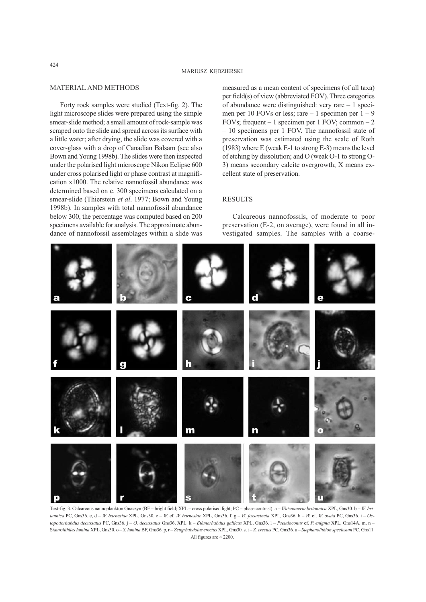## MATERIAL AND METHODS

Forty rock samples were studied (Text-fig. 2). The light microscope slides were prepared using the simple smear-slide method; a small amount of rock-sample was scraped onto the slide and spread across its surface with a little water; after drying, the slide was covered with a cover-glass with a drop of Canadian Balsam (see also Bown and Young 1998b). The slides were then inspected under the polarised light microscope Nikon Eclipse 600 under cross polarised light or phase contrast at magnification x1000. The relative nannofossil abundance was determined based on c. 300 specimens calculated on a smear-slide (Thierstein *et al*. 1977; Bown and Young 1998b). In samples with total nannofossil abundance below 300, the percentage was computed based on 200 specimens available for analysis. The approximate abundance of nannofossil assemblages within a slide was

measured as a mean content of specimens (of all taxa) per field(s) of view (abbreviated FOV). Three categories of abundance were distinguished: very rare – 1 specimen per 10 FOVs or less; rare – 1 specimen per 1 – 9 FOVs; frequent  $-1$  specimen per 1 FOV; common  $-2$ – 10 specimens per 1 FOV. The nannofossil state of preservation was estimated using the scale of Roth (1983) where E (weak E-1 to strong E-3) means the level of etching by dissolution; and O (weak O-1 to strong O-3) means secondary calcite overgrowth; X means excellent state of preservation.

## RESULTS

Calcareous nannofossils, of moderate to poor preservation (E-2, on average), were found in all investigated samples. The samples with a coarse-



*topodorhabdus decussatus* PC, Gns36. j – *O. decussatus* Gns36, XPL. k – *Ethmorhabdus gallicus* XPL, Gns36. l – *Pseudoconus* cf. *P. enigma* XPL, Gns14A. m, n – S*taurolithites lumina* XPL, Gns30. o – *S. lumina* BF, Gns36. p, r – *Zeugrhabdotus erectus* XPL, Gns30. s, t – *Z. erectus* PC, Gns36. u – *Stephanolithion speciosum* PC, Gns11. All figures are × 2200.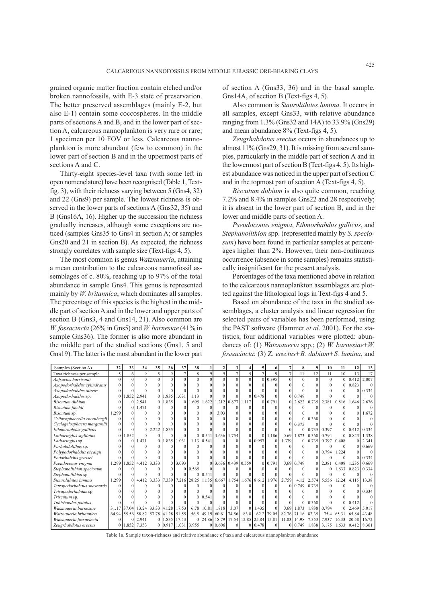grained organic matter fraction contain etched and/or broken nannofossils, with E-3 state of preservation. The better preserved assemblages (mainly E-2, but also E-1) contain some coccospheres. In the middle parts of sections A and B, and in the lower part of section A, calcareous nannoplankton is very rare or rare; 1 specimen per 10 FOV or less. Calcareous nannoplankton is more abundant (few to common) in the lower part of section B and in the uppermost parts of sections A and C.

Thirty-eight species-level taxa (with some left in open nomenclature) have been recognised (Table 1, Textfig. 3), with their richness varying between 5 (Gns4, 32) and 22 (Gns9) per sample. The lowest richness is observed in the lower parts of sections A (Gns32, 35) and B (Gns16A, 16). Higher up the succession the richness gradually increases, although some exceptions are noticed (samples Gns35 to Gns4 in section A; or samples Gns20 and 21 in section B). As expected, the richness strongly correlates with sample size (Text-figs 4, 5).

The most common is genus *Watznaueria*, attaining a mean contribution to the calcareous nannofossil assemblages of c. 80%, reaching up to 97% of the total abundance in sample Gns4. This genus is represented mainly by *W. britannica*, which dominates all samples. The percentage of this species is the highest in the middle part of section A and in the lower and upper parts of section B (Gns3, 4 and Gns14, 21). Also common are *W. fossacincta* (26% in Gns5) and *W. barnesiae* (41% in sample Gns36). The former is also more abundant in the middle part of the studied sections (Gns1, 5 and Gns19). The latter is the most abundant in the lower part

of section A (Gns33, 36) and in the basal sample, Gns14A, of section B (Text-figs 4, 5).

Also common is *Staurolithites lumina*. It occurs in all samples, except Gns33, with relative abundance ranging from 1.3% (Gns32 and 14A) to 33.9% (Gns29) and mean abundance 8% (Text-figs 4, 5).

*Zeugrhabdotus erectus* occurs in abundances up to almost 11% (Gns29, 31). It is missing from several samples, particularly in the middle part of section A and in the lowermost part of section B (Tect-figs 4, 5). Its highest abundance was noticed in the upper part of section C and in the topmost part of section A (Text-figs 4, 5).

*Biscutum dubium* is also quite common, reaching 7.2% and 8.4% in samples Gns22 and 28 respectively; it is absent in the lower part of section B, and in the lower and middle parts of section A.

*Pseudoconus enigma*, *Ethmorhabdus gallicus*, and *Stephanolithion* spp. (represented mainly by *S. speciosum*) have been found in particular samples at percentages higher than 2%. However, their non-continuous occurrence (absence in some samples) remains statistically insignificant for the present analysis.

Percentages of the taxa mentioned above in relation to the calcareous nannoplankton assemblages are plotted against the lithological logs in Text-figs 4 and 5.

Based on abundance of the taxa in the studied assemblages, a cluster analysis and linear regression for selected pairs of variables has been performed, using the PAST software (Hammer *et al*. 2001). For the statistics, four additional variables were plotted: abundances of: (1) *Watznaueria* spp.; (2) *W. barnesiae*+*W. fossacincta*; (3) Z*. erectus+B. dubium+S. lumina*, and

| Samples (Section A)          | 32          | 33          | 34             | 35              | 36                  | 37           | 38       |             |          |                   |          |                               |             |          | 8           | 9                   | 10       | 11       | 12            | 13    |
|------------------------------|-------------|-------------|----------------|-----------------|---------------------|--------------|----------|-------------|----------|-------------------|----------|-------------------------------|-------------|----------|-------------|---------------------|----------|----------|---------------|-------|
| Taxa richness per sample     | 5           | 6           | $\overline{Q}$ | 5               | 9                   | $\tau$       | 8        | $\mathbf Q$ | 9        | $\tau$            |          | $\overline{7}$                | $\mathbf Q$ | 7        | 11          | 12                  | 11       | 10       | 13            | 17    |
| Anfractus harrisonii         | $\Omega$    |             | $\Omega$       | $\Omega$        | $\Omega$            | $\Omega$     | $\Omega$ |             | $\Omega$ | $\Omega$          |          |                               | 0 0.395     | $\Omega$ | $\Omega$    | $\Omega$            | $\Omega$ | $\Omega$ | 0.412         | 2.007 |
| Axopodorhabdus cylindratus   | $\Omega$    |             |                | $\Omega$        |                     |              |          |             |          |                   |          |                               |             |          | $\Omega$    |                     |          | $\Omega$ | 0.823         |       |
| Axopodorhabdus atavus        |             |             |                |                 |                     |              |          |             |          |                   |          |                               |             |          |             |                     |          |          | $\Omega$      | 0.334 |
| Axopodorhabdus sp.           | $\theta$    | .852        | 2.941          | $\Omega$        | .835                | 1.031        | 1.13     |             |          |                   | $\Omega$ | 0.478                         |             | $\Omega$ | 0.749       |                     |          |          |               |       |
| <b>Biscutum</b> dubium       |             | 0           | 2.941          | 0 <sup>11</sup> | .835                | $\Omega$     | 1.695    | .622        | 1.212    | 0.877             | 1.117    |                               | 0.791       | $\Omega$ | 2.622       | 0.735               | 2.381    | 0.816    | 1.646         | 2.676 |
| Biscutum finchii             |             |             | .471           | $\Omega$        | 0                   |              |          |             |          |                   |          |                               |             |          |             |                     |          |          |               |       |
| Biscutum sp.                 | 1.299       |             |                |                 |                     |              |          |             | 3,03     |                   |          |                               |             |          |             |                     |          |          | $\Omega$      | .672  |
| Cribrosphaerella ehrenbergii |             |             |                |                 |                     |              |          |             |          |                   |          |                               |             |          | $\Omega$    | 0.368               |          |          |               |       |
| Cyclagelosphaera margarelii  |             |             |                |                 |                     |              |          |             |          |                   |          |                               |             | $\Omega$ | 0.375       |                     |          |          |               |       |
| Ethmorhabdus gallicus        |             |             | ſ              | .222            | .835                |              |          |             |          |                   |          |                               |             | $\Omega$ |             | 0.735               | 0.397    | $\Omega$ | 0.412         | 0.334 |
| Lotharingius sigillatus      | $\Omega$    | .852        | $\Omega$       |                 |                     |              |          | 0.541       | 3.636    | 1.754             |          | $\Omega$                      | 1.186       |          | 0.69 1.873  | 0.368               | 0.794    | $\Omega$ | 0.823         | 1.338 |
| Lotharingius sp.             |             |             | .471           | $\Omega$        |                     | $.835$ 1.031 | 1.13     | 0.541       |          |                   | $\Omega$ | 0.957                         |             | .379     |             | $0 \mid 0.735 \mid$ | 0.397    | 0.408    | $\Omega$      | 2.341 |
| Parhabdolithus sp.           |             |             |                |                 |                     |              |          |             |          |                   |          |                               |             |          |             |                     |          |          | $\Omega$      | 0.669 |
| Polypodorhabdus escaigii     |             |             |                |                 |                     |              |          |             |          |                   |          |                               |             |          |             | 0                   | 0.794    | 1.224    |               |       |
| Podorhabdus grassei          |             |             |                |                 |                     |              |          |             |          |                   |          |                               |             |          |             |                     |          |          | C             | 0.334 |
| Pseudoconus enigma           | 1.299       | 1.852       |                | 4.412 3.333     | $\Omega$            | 3.093        |          |             |          | 3.636 0.439 0.559 |          | $\Omega$                      | 0.791       | 0,69     | 0.749       | 0                   | 2.381    | 0.408    | 1.235         | 0.669 |
| Stephanolithion speciosum    |             |             |                |                 | $\Omega$            |              | 0.565    |             |          |                   |          |                               |             |          |             |                     | 0        | .633     | 0.823         | 0.334 |
| Stephanolithion sp.          |             |             |                |                 |                     |              | $\Omega$ | 0.541       |          |                   |          |                               |             |          |             |                     |          |          |               |       |
| Staurolithites lumina        | 1.299       | $\Omega$    | 4.412          | 3.333           | 7.339               | 7.216 28.25  |          | 11.35       |          |                   |          | 6.667 1.754 1.676 8.612 1.976 |             | 2.759    | 4.12        | 2.574               | 5.556    |          | $12.24$ 4.115 | 13.38 |
| Tetrapodorhabdus shawensis   | $\Omega$    |             |                |                 |                     |              |          |             |          |                   |          |                               |             | $\Omega$ | 0.749       | 0.735               |          |          |               |       |
| Tetrapodorhabdus sp.         |             |             |                |                 |                     |              |          |             |          |                   |          |                               |             |          |             |                     |          |          | $\Omega$      | 0.334 |
| Triscutum sp.                |             |             |                |                 |                     |              |          | 0.541       |          |                   |          |                               |             |          |             |                     |          |          |               |       |
| Tubirhabdus patulus          |             |             |                |                 |                     |              |          |             |          |                   |          |                               |             |          | $\Omega$    | 0.368               |          | $\Omega$ | 0.412         |       |
| Watznaueria barnesiae        | 31.17       | 37.04       | 13.24          | 33.33           | 41.28               | 17.53        | 6.78     | 10.81       | 11.818   | 3.07              |          | .435                          |             | 0.69     | 1.873       | 1.838               | 0.794    |          | 2.469         | 5.017 |
| Watznaueria britannica       | 64.94 55.56 |             | 58.82          | 57.78 41.28     |                     | 51.55        | 56.5     | 49.19       | 60.61    | 74.56             | 83.8     | 62.2                          | 79.05       | 82.76    | 71.16       | 82.35               | 75.4     | 65.31    | 65.84         | 43.48 |
| Watznaueria fossacincta      | $\Omega$    | O           | 2.941          |                 | 0 1.835 17.53       |              | $\theta$ |             |          | 24.86 18.79 17.54 |          | 12.85 25.84 15.81             |             | 11.03    | 14.98       | 7.353               | 7.937    | 16.33    | 20.58         | 16.72 |
| Zeugrhabdotus erectus        |             | $0$   1.852 | 7.353          |                 | 0 0.917 1.031 3.955 |              |          |             | 010.606  | $\Omega$          | $\Omega$ | 0.478                         |             |          | $0\,10.749$ | 1.838               | 3.175    | 1.633    | 0.412         | 8.361 |

Table 1a. Sample taxon-richness and relative abundance of taxa and calcareous nannoplankton abundance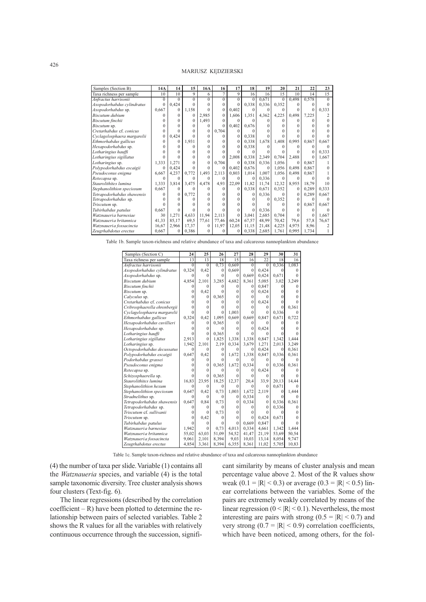#### MARIUSZ KĘDZIERSKI

| Samples (Section B)         | 14A            | 14       | 15       | 16A      | 16             | 17       | 18       | 19       | 20       | 21       | 22       | 23       |
|-----------------------------|----------------|----------|----------|----------|----------------|----------|----------|----------|----------|----------|----------|----------|
| Taxa richness per sample    | 10             | 10       | 9        | 6        | 7              | 9        | 16       | 16       | 15       | 10       | 14       | 15       |
| Anfractus harrisonii        | $\overline{0}$ | $\Omega$ | $\Omega$ | $\Omega$ | $\overline{0}$ | $\Omega$ | $\theta$ | 0.671    | $\theta$ | 0.498    | 0.578    | $\Omega$ |
| Axopodorhabdus cylindratus  | $\theta$       | 0,424    | $\Omega$ | $\Omega$ | $\Omega$       | $\Omega$ | 0,338    | 0,336    | 0.352    | $\Omega$ | $\Omega$ |          |
| Axopodorhabdus sp.          | 0,667          | $\Omega$ | 1,158    | $\Omega$ | $\theta$       | 0,402    | $\Omega$ | $\Omega$ | $\Omega$ | $\Omega$ | $\Omega$ | 0,333    |
| <b>Biscutum</b> dubium      | 0              | $\Omega$ | $\Omega$ | 2,985    | $\Omega$       | 1,606    | 1,351    | 4,362    | 4,225    | 0,498    | 7,225    |          |
| Biscutum finchii            | 0              | $\Omega$ | $\Omega$ | 1,493    | $\Omega$       | $\Omega$ | $\Omega$ | O        | $\Omega$ | $\Omega$ | $\Omega$ | $\Omega$ |
| Biscutum sp.                | 0              | $\Omega$ | $\Omega$ | $\Omega$ | $\Omega$       | 0,402    | 0.676    | 0        | $\Omega$ |          |          |          |
| Cretarhabdus cf. conicus    | 0              |          | $\Omega$ | $\theta$ | 0,704          | $\Omega$ | $\Omega$ |          |          |          |          |          |
| Cyclagelosphaera margarelii | $\theta$       | 0,424    | $\Omega$ | $\Omega$ | $\Omega$       | $\Omega$ | 0,338    | $\Omega$ | $\Omega$ |          |          |          |
| Ethmorhabdus gallicus       | 0              | $\Omega$ | 1,931    | $\Omega$ | $\Omega$       | $\Omega$ | 0,338    | 1,678    | 1,408    | 0,995    | 0,867    | 0.667    |
| Hexapodorhabdus sp.         | 0              | $\Omega$ | $\Omega$ | $\Omega$ | $\Omega$       | $\Omega$ | 0,338    | 0        | $\Omega$ |          |          |          |
| Lotharingius hauffi         |                | $\Omega$ | $\Omega$ | $\Omega$ | $\Omega$       | $\Omega$ | $\Omega$ |          |          |          |          | 0,333    |
| Lotharingius sigillatus     | 0              |          | $\Omega$ | $\Omega$ | $\Omega$       | 2,008    | 0,338    | 2,349    | 0.704    | 2,488    | $\Omega$ | 1.667    |
| Lotharingius sp.            | 1,333          | 1,271    | $\Omega$ | $\theta$ | 0.704          | $\Omega$ | 0.338    | 0,336    | 1.056    | $\Omega$ | 0.867    |          |
| Polypodorhabdus escaigii    | $\Omega$       | 0.424    | $\Omega$ | $\Omega$ | $\Omega$       | 0.402    | 0.676    | $\Omega$ | 1.056    | 0.498    | 0.867    | $\Omega$ |
| Pseudoconus enigma          | 6,667          | 4,237    | 0,772    | 1,493    | 2.113          | 0.803    | 1,014    | 1.007    | 1.056    | 0,498    | 0,867    |          |
| Retecapsa sp.               | $\Omega$       | $\Omega$ | $\Omega$ | $\Omega$ | $\Omega$       | $\Omega$ | $\Omega$ | 0.336    | $\Omega$ | $\Omega$ |          |          |
| Staurolithites lumina       | 1.333          | 3,814    | 3,475    | 4,478    | 4,93           | 22,09    | 11.82    | 11,74    | 12.32    | 8,955    | 18.79    | 10       |
| Stephanolithion speciosum   | 0,667          | $\Omega$ | $\Omega$ | $\Omega$ | $\Omega$       | $\Omega$ | 0,338    | 0.671    | 0.352    | $\Omega$ | 0.289    | 0.333    |
| Tetrapodorhabdus shawensis  | $\Omega$       | $\Omega$ | 0,772    | $\Omega$ | $\Omega$       | $\Omega$ | $\Omega$ | 0.336    | $\Omega$ | $\Omega$ | 0,289    | 0.667    |
| Tetrapodorhabdus sp.        |                | $\Omega$ | $\Omega$ | $\Omega$ | $\Omega$       | $\Omega$ |          | $\Omega$ | 0.352    | $\Omega$ | $\Omega$ |          |
| Triscutum sp.               |                |          | $\Omega$ | $\Omega$ | $\Omega$       | $\Omega$ |          |          | $\Omega$ | $\Omega$ | 0,867    | 0.667    |
| Tubirhabdus patulus         | 0.667          | 0        | $\Omega$ | $\Omega$ |                | $\Omega$ | $\Omega$ | 0.336    |          |          | $\Omega$ |          |
| Watznaueria harnesiae       | 30             | 1.271    | 4,633    | 11.94    | 2.113          | $\Omega$ | 3.041    | 2,685    | 0.704    | $\Omega$ | $\Omega$ | 1.667    |
| Watznaueri a britannica     | 41.33          | 85.17    | 69.5     | 77.61    | 77,46          | 60.24    | 67,57    | 48,99    | 70.42    | 79.6     | 57.8     | 76.67    |
| Watznaueri a fossacincta    | 16,67          | 2,966    | 17,37    | $\Omega$ | 11,97          | 12,05    | 11,15    | 21,48    | 4.225    | 4,975    | 8,96     |          |
| Zeugrhabdotus erectus       | 0.667          | $\Omega$ | 0.386    | $\Omega$ | $\Omega$       | $\Omega$ | 0.338    | 2.685    | 1.761    | 0,995    | 1.734    |          |

Table 1b. Sample taxon-richness and relative abundance of taxa and calcareous nannoplankton abundance

| Samples (Section C)          | 24       | 25             | 26           | 27       | 28             | 29             | 30       | 31       |
|------------------------------|----------|----------------|--------------|----------|----------------|----------------|----------|----------|
| Taxa richness per sample     | 13       | 13             | 18           | 15       | 16             | 22             | 18       | 16       |
| Anfractus harrisonii         | $\theta$ | $\overline{0}$ | 0,73         | 0,669    | $\overline{0}$ | $\overline{0}$ | 0,336    | 1,083    |
| Axopodorhabdus cylindratus   | 0,324    | 0,42           | $\mathbf{0}$ | 0,669    | $\theta$       | 0.424          | $\Omega$ | $\Omega$ |
| Axopodorhabdus sp.           |          | $\Omega$       | $\Omega$     | $\Omega$ | 0.669          | 0,424          | 0,671    |          |
| <b>Biscutum</b> dubium       | 4,854    | 2,101          | 3,285        | 4,682    | 8,361          | 5,085          | 3,02     | 3,249    |
| Biscutum finchii             | $\theta$ | $\Omega$       | $\Omega$     | $\Omega$ | $\theta$       | 0,847          |          |          |
| Biscutum sp.                 | $\theta$ | 0,42           | $\Omega$     | $\Omega$ | $\theta$       | 0,424          |          |          |
| Calvculus sp.                |          | $\Omega$       | 0,365        | $\Omega$ | 0              |                |          |          |
| Cretarhabdus cf. conicus     |          | $\Omega$       | $\Omega$     | $\Omega$ | $\Omega$       | 0,424          |          |          |
| Cribrosphaerella ehrenbergii | 0        | $\theta$       | $\Omega$     | $\Omega$ | 0              | $\Omega$       | $\Omega$ | 0,361    |
| Cyclagelosphaera margarelii  | 0        | $\Omega$       | $\theta$     | 1,003    | $\Omega$       | $\theta$       | 0.336    |          |
| Ethmorhabdus gallicus        | 0,324    | 0,42           | 1,095        | 0,669    | 0,669          | 0,847          | 0,671    | 0,722    |
| Hexapodorhabdus cuvillieri   | $\theta$ | $\theta$       | 0,365        | $\Omega$ | $\Omega$       |                |          |          |
| Hexapodorhabdus sp.          |          | $\Omega$       | $\Omega$     |          | $\Omega$       | 0,424          |          |          |
| Lotharingius hauffi          |          | $\mathbf{0}$   | 0,365        | $\Omega$ |                |                |          |          |
| Lotharingius sigillatus      | 2,913    | $\Omega$       | 1,825        | 1,338    | 1.338          | 0,847          | 1.342    | 1,444    |
| Lotharingius sp.             | 1,942    | 2,101          | 2,19         | 0,334    | 3,679          | 1,271          | 2,013    | 3,249    |
| Octopodorhabdus decussatus   |          | $\Omega$       | $\Omega$     | $\Omega$ | $\Omega$       | 0,424          | $\Omega$ | 0,361    |
| Polypodorhabdus escaigii     | 0,647    | 0,42           | $\Omega$     | 1,672    | 1,338          | 0,847          | 0,336    | 0,361    |
| Podorhabdus grassei          | 0        | $\Omega$       | $\Omega$     | $\Omega$ |                | $\Omega$       |          |          |
| Pseudoconus enigma           |          | $\mathbf{0}$   | 0,365        | 1,672    | 0,334          | $\Omega$       | 0,336    | 0,361    |
| Retecapsa sp.                |          | $\theta$       | $\Omega$     | $\Omega$ | $\theta$       | 0,424          |          |          |
| Schizosphaerella sp.         |          | $\Omega$       | 0,365        | $\Omega$ | $\Omega$       | $\Omega$       |          |          |
| Staurolithites lumina        | 16.83    | 23,95          | 18,25        | 12,37    | 20,4           | 33,9           | 20.13    | 14,44    |
| Stephanolithion hexum        | 0        | $\Omega$       | $\Omega$     | $\Omega$ | $\Omega$       | $\Omega$       | 0,671    |          |
| Stephanolithion speciosum    | 0.647    | 0,42           | 0,73         | 1,003    | 1.672          | 2,119          | $\Omega$ | 1,444    |
| Stradnelithus sp.            |          | $\Omega$       | $\Omega$     | $\Omega$ | 0,334          | $\Omega$       |          |          |
| Tetrapodorhabdus shawensis   | 0,647    | 0,84           | 0,73         | $\Omega$ | 0,334          | $\mathbf{0}$   | 0.336    | 0,361    |
| Tetrapodorhabdus sp.         | 0        | $\Omega$       |              | $\Omega$ | 0              | $\Omega$       | 0,336    | 0        |
| Triscutum cf. sullivanii     |          | $\Omega$       | 0,73         | $\Omega$ |                | O              |          |          |
| Triscutum sp.                |          | 0,42           | $\Omega$     | $\Omega$ | $\Omega$       | 0.424          | 0,671    |          |
| Tubirhabdus patulus          |          | $\theta$       | $\Omega$     | $\Omega$ | 0.669          | 0,847          |          |          |
| Watznaueri a barnesiae       | 1.942    | $\theta$       | 0,73         | 4,013    | 0,334          | 4,661          | 1,342    | 1,444    |
| Watznaueri a britannica      | 55,02    | 63,03          | 51,09        | 54,52    | 41,47          | 21,19          | 53,69    | 50,54    |
| Watznaueri a fossacincta     | 9,061    | 2,101          | 8.394        | 9,03     | 10,03          | 13,14          | 8,054    | 9,747    |
| Zeugrhabdotus erectus        | 4,854    | 3,361          | 8,394        | 6,355    | 8,361          | 11,02          | 5,705    | 10,83    |

Table 1c. Sample taxon-richness and relative abundance of taxa and calcareous nannoplankton abundance

(4) the number of taxa per slide.Variable (1) contains all the *Watznaueria* species, and variable (4) is the total sample taxonomic diversity. Tree cluster analysis shows four clusters (Text-fig. 6).

The linear regressions (described by the correlation coefficient  $- R$ ) have been plotted to determine the relationship between pairs of selected variables. Table 2 shows the R values for all the variables with relatively continuous occurrence through the succession, significant similarity by means of cluster analysis and mean percentage value above 2. Most of the R values show weak (0.1 =  $|R|$  < 0.3) or average (0.3 =  $|R|$  < 0.5) linear correlations between the variables. Some of the pairs are extremely weakly correlated by means of the linear regression ( $0 \le |R| \le 0.1$ ). Nevertheless, the most interesting are pairs with strong  $(0.5 = |R| < 0.7)$  and very strong  $(0.7 = |R| < 0.9)$  correlation coefficients, which have been noticed, among others, for the fol-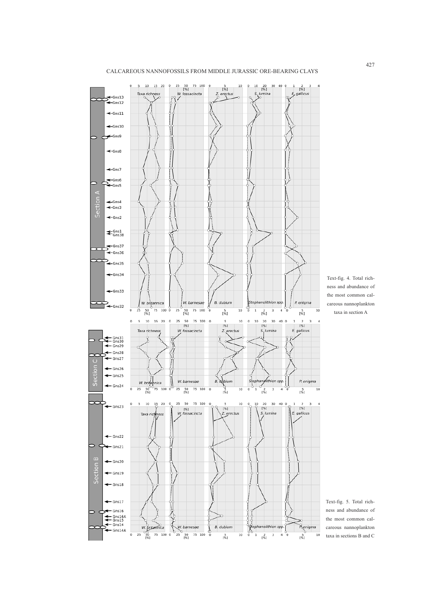



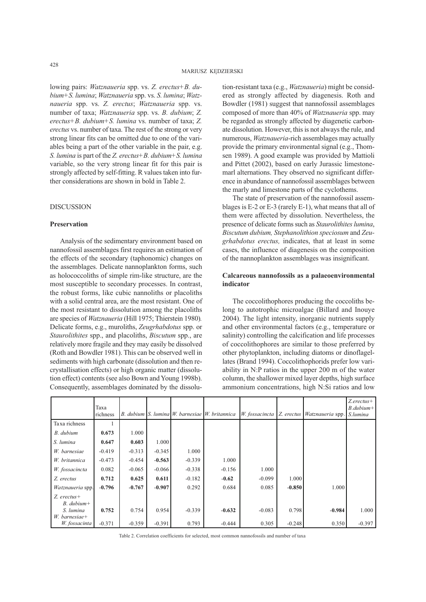lowing pairs: *Watznaueria* spp. vs. *Z. erectus+B. dubium+S. lumina*; *Watznaueria* spp. vs. *S. lumina*; *Watznaueria* spp. vs. *Z. erectus*; *Watznaueria* spp. vs. number of taxa; *Watznaueria* spp. vs. *B. dubium*; *Z. erectus+B. dubium+S. lumina* vs. number of taxa; *Z. erectus* vs. number of taxa. The rest of the strong or very strong linear fits can be omitted due to one of the variables being a part of the other variable in the pair, e.g. *S. lumina* is part of the *Z. erectus+B. dubium+S. lumina* variable, so the very strong linear fit for this pair is strongly affected by self-fitting. R values taken into further considerations are shown in bold in Table 2.

# DISCUSSION

#### **Preservation**

Analysis of the sedimentary environment based on nannofossil assemblages first requires an estimation of the effects of the secondary (taphonomic) changes on the assemblages. Delicate nannoplankton forms, such as holococcoliths of simple rim-like structure, are the most susceptible to secondary processes. In contrast, the robust forms, like cubic nannoliths or placoliths with a solid central area, are the most resistant. One of the most resistant to dissolution among the placoliths are species of *Watznaueria* (Hill 1975; Thierstein 1980)*.* Delicate forms, e.g., muroliths, *Zeugrhabdotus* spp. or *Staurolithites* spp., and placoliths, *Biscutum* spp., are relatively more fragile and they may easily be dissolved (Roth and Bowdler 1981). This can be observed well in sediments with high carbonate (dissolution and then recrystallisation effects) or high organic matter (dissolution effect) contents (see also Bown and Young 1998b). Consequently, assemblages dominated by the dissolu-

tion-resistant taxa (e.g., *Watznaueria*) might be considered as strongly affected by diagenesis. Roth and Bowdler (1981) suggest that nannofossil assemblages composed of more than 40% of *Watznaueria* spp. may be regarded as strongly affected by diagenetic carbonate dissolution. However, this is not always the rule, and numerous, *Watznaueria*-rich assemblages may actually provide the primary environmental signal (e.g., Thomsen 1989). A good example was provided by Mattioli and Pittet (2002), based on early Jurassic limestonemarl alternations. They observed no significant difference in abundance of nannofossil assemblages between the marly and limestone parts of the cyclothems.

The state of preservation of the nannofossil assemblages is E-2 or E-3 (rarely E-1), what means that all of them were affected by dissolution. Nevertheless, the presence of delicate forms such as *Staurolithites lumina*, *Biscutum dubium, Stephanolithion speciosum* and *Zeugrhabdotus erectus,* indicates, that at least in some cases, the influence of diagenesis on the composition of the nannoplankton assemblages was insignificant.

# **Calcareous nannofossils as a palaeoenvironmental indicator**

The coccolithophores producing the coccoliths belong to autotrophic microalgae (Billard and Inouye 2004). The light intensity, inorganic nutrients supply and other environmental factors (e.g., temperature or salinity) controlling the calcification and life processes of coccolithophores are similar to those preferred by other phytoplankton, including diatoms or dinoflagellates (Brand 1994). Coccolithophorids prefer low variability in N:P ratios in the upper 200 m of the water column, the shallower mixed layer depths, high surface ammonium concentrations, high N:Si ratios and low

|                                   | Taxa<br>richness |          |          |          | $B.$ dubium $S.$ lumina W. barnesiae W. britannica | $W.$ fossacincta |          | Z. erectus   Watznaueria spp. | $Z. erectus+$<br>$B$ .dubium $+$<br>S.lumina |
|-----------------------------------|------------------|----------|----------|----------|----------------------------------------------------|------------------|----------|-------------------------------|----------------------------------------------|
| Taxa richness                     |                  |          |          |          |                                                    |                  |          |                               |                                              |
| B. dubium                         | 0.673            | 1.000    |          |          |                                                    |                  |          |                               |                                              |
| S. lumina                         | 0.647            | 0.603    | 1.000    |          |                                                    |                  |          |                               |                                              |
| W. barnesiae                      | $-0.419$         | $-0.313$ | $-0.345$ | 1.000    |                                                    |                  |          |                               |                                              |
| W. britannica                     | $-0.473$         | $-0.454$ | $-0.563$ | $-0.339$ | 1.000                                              |                  |          |                               |                                              |
| W. fossacincta                    | 0.082            | $-0.065$ | $-0.066$ | $-0.338$ | $-0.156$                                           | 1.000            |          |                               |                                              |
| Z. erectus                        | 0.712            | 0.625    | 0.611    | $-0.182$ | $-0.62$                                            | $-0.099$         | 1.000    |                               |                                              |
| Watznaueria spp.                  | $-0.796$         | $-0.767$ | $-0.907$ | 0.292    | 0.684                                              | 0.085            | $-0.850$ | 1.000                         |                                              |
| $Z.$ erectus $+$<br>$B.$ dubium + |                  |          |          |          |                                                    |                  |          |                               |                                              |
| S. lumina<br>W. barnesiae+        | 0.752            | 0.754    | 0.954    | $-0.339$ | $-0.632$                                           | $-0.083$         | 0.798    | $-0.984$                      | 1.000                                        |
| W. fossacinta                     | $-0.371$         | $-0.359$ | $-0.391$ | 0.793    | $-0.444$                                           | 0.305            | $-0.248$ | 0.350                         | $-0.397$                                     |

Table 2. Correlation coefficients for selected, most common nannofossils and number of taxa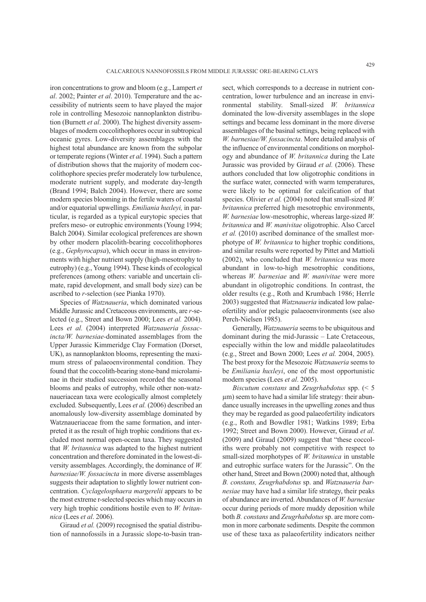iron concentrations to grow and bloom (e.g., Lampert *et al*. 2002; Painter *et al*. 2010). Temperature and the accessibility of nutrients seem to have played the major role in controlling Mesozoic nannoplankton distribution (Burnett *et al*. 2000). The highest diversity assemblages of modern coccolithophores occur in subtropical oceanic gyres. Low-diversity assemblages with the highest total abundance are known from the subpolar or temperate regions (Winter *et al*. 1994). Such a pattern of distribution shows that the majority of modern coccolithophore species prefer moderately low turbulence, moderate nutrient supply, and moderate day-length (Brand 1994; Balch 2004). However, there are some modern species blooming in the fertile waters of coastal and/or equatorial upwellings. *Emiliania huxleyi,* in particular, is regarded as a typical eurytopic species that prefers meso- or eutrophic environments (Young 1994; Balch 2004). Similar ecological preferences are shown by other modern placolith-bearing coccolithophores (e.g., *Gephyrocapsa*), which occur in mass in environments with higher nutrient supply (high-mesotrophy to eutrophy) (e.g., Young 1994). These kinds of ecological preferences (among others: variable and uncertain climate, rapid development, and small body size) can be ascribed to *r*-selection (see Pianka 1970).

Species of *Watznaueria*, which dominated various Middle Jurassic and Cretaceous environments, are *r*-selected (e.g., Street and Bown 2000; Lees *et al.* 2004). Lees *et al.* (2004) interpreted *Watznaueria fossacincta/W. barnesiae-*dominated assemblages from the Upper Jurassic Kimmeridge Clay Formation (Dorset, UK), as nannoplankton blooms, representing the maximum stress of palaeoenvironmental condition. They found that the coccolith-bearing stone-band microlaminae in their studied succession recorded the seasonal blooms and peaks of eutrophy, while other non-watznaueriacean taxa were ecologically almost completely excluded. Subsequently, Lees *et al.* (2006) described an anomalously low-diversity assemblage dominated by Watznaueriaceae from the same formation, and interpreted it as the result of high trophic conditions that excluded most normal open-ocean taxa. They suggested that *W. britannica* was adapted to the highest nutrient concentration and therefore dominated in the lowest-diversity assemblages. Accordingly, the dominance of *W. barnesiae/W. fossacincta* in more diverse assemblages suggests their adaptation to slightly lower nutrient concentration. *Cyclagelosphaera margerelii* appears to be the most extreme r-selected species which may occurs in very high trophic conditions hostile even to *W. britannica* (Lees *et al*. 2006).

Giraud *et al.* (2009) recognised the spatial distribution of nannofossils in a Jurassic slope-to-basin transect, which corresponds to a decrease in nutrient concentration, lower turbulence and an increase in environmental stability. Small-sized *W. britannica* dominated the low-diversity assemblages in the slope settings and became less dominant in the more diverse assemblages of the basinal settings, being replaced with *W. barnesiae/W. fossacincta*. More detailed analysis of the influence of environmental conditions on morphology and abundance of *W. britannica* during the Late Jurassic was provided by Giraud *et al.* (2006). These authors concluded that low oligotrophic conditions in the surface water, connected with warm temperatures, were likely to be optimal for calcification of that species. Olivier *et al.* (2004) noted that small-sized *W. britannica* preferred high mesotrophic environments, *W. barnesiae* low-mesotrophic, whereas large-sized *W. britannica* and *W. manivitae* oligotrophic. Also Carcel *et al.* (2010) ascribed dominance of the smallest morphotype of *W. britannica* to higher trophic conditions, and similar results were reported by Pittet and Mattioli (2002), who concluded that *W. britannica* was more abundant in low-to-high mesotrophic conditions, whereas *W. barnesiae* and *W. manivitae* were more abundant in oligotrophic conditions*.* In contrast, the older results (e.g., Roth and Krumbach 1986; Herrle 2003) suggested that *Watznaueria* indicated low palaeofertility and/or pelagic palaeoenvironments (see also Perch-Nielsen 1985).

Generally, *Watznaueria* seems to be ubiquitous and dominant during the mid-Jurassic – Late Cretaceous, especially within the low and middle palaeolatitudes (e.g., Street and Bown 2000; Lees *et al.* 2004, 2005). The best proxy for the Mesozoic *Watznaueria* seems to be *Emiliania huxleyi*, one of the most opportunistic modern species (Lees *et al*. 2005).

*Biscutum constans* and *Zeugrhabdotus* spp. (< 5 um) seem to have had a similar life strategy: their abundance usually increases in the upwelling zones and thus they may be regarded as good palaeofertility indicators (e.g., Roth and Bowdler 1981; Watkins 1989; Erba 1992; Street and Bown 2000). However, Giraud *et al*. (2009) and Giraud (2009) suggest that "these coccoliths were probably not competitive with respect to small-sized morphotypes of *W. britannica* in unstable and eutrophic surface waters for the Jurassic". On the other hand, Street and Bown (2000) noted that, although *B. constans, Zeugrhabdotus* sp. and *Watznaueria barnesiae* may have had a similar life strategy, their peaks of abundance are inverted. Abundances of *W. barnesiae* occur during periods of more muddy deposition while both *B. constans* and *Zeugrhabdotus* sp. are more common in more carbonate sediments. Despite the common use of these taxa as palaeofertility indicators neither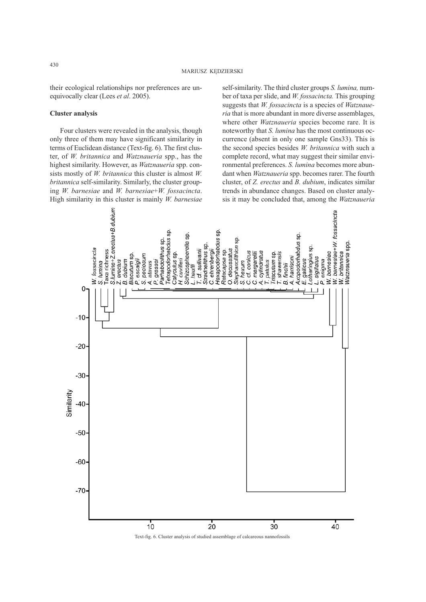their ecological relationships nor preferences are unequivocally clear (Lees *et al*. 2005).

## **Cluster analysis**

Four clusters were revealed in the analysis, though only three of them may have significant similarity in terms of Euclidean distance (Text-fig. 6). The first cluster, of *W. britannica* and *Watznaueria* spp., has the highest similarity. However, as *Watznaueria* spp. consists mostly of *W. britannica* this cluster is almost *W. britannica* self-similarity. Similarly, the cluster grouping *W. barnesiae* and *W. barnesiae*+*W. fossacincta*. High similarity in this cluster is mainly *W. barnesiae*

self-similarity. The third cluster groups *S. lumina,* number of taxa per slide, and *W. fossacincta.* This grouping suggests that *W. fossacincta* is a species of *Watznaueria* that is more abundant in more diverse assemblages, where other *Watznaueria* species become rare. It is noteworthy that *S. lumina* has the most continuous occurrence (absent in only one sample Gns33). This is the second species besides *W. britannica* with such a complete record, what may suggest their similar environmental preferences. *S. lumina* becomes more abundant when *Watznaueria* spp. becomes rarer. The fourth cluster, of *Z. erectus* and *B. dubium*, indicates similar trends in abundance changes. Based on cluster analysis it may be concluded that, among the *Watznaueria*



Text-fig. 6. Cluster analysis of studied assemblage of calcareous nannofossils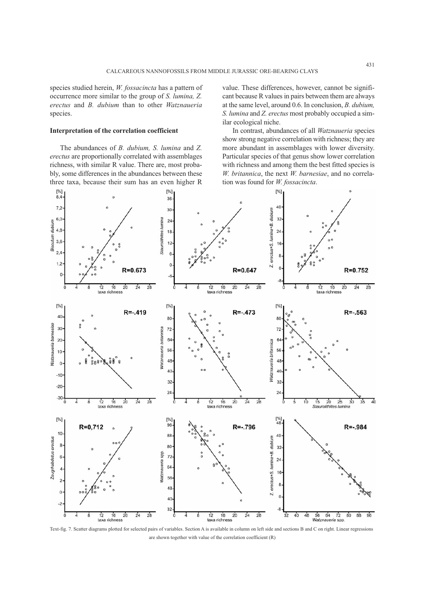species studied herein, *W. fossacincta* has a pattern of occurrence more similar to the group of *S. lumina, Z. erectus* and *B. dubium* than to other *Watznaueria* species.

# **Interpretation of the correlation coefficient**

The abundances of *B. dubium, S. lumina* and *Z. erectus* are proportionally correlated with assemblages richness, with similar R value. There are, most probably, some differences in the abundances between these three taxa, because their sum has an even higher R value. These differences, however, cannot be significant because R values in pairs between them are always at the same level, around 0.6. In conclusion, *B. dubium, S. lumina* and *Z. erectus* most probably occupied a similar ecological niche.

In contrast, abundances of all *Watznaueria* species show strong negative correlation with richness; they are more abundant in assemblages with lower diversity. Particular species of that genus show lower correlation with richness and among them the best fitted species is *W. britannica*, the next *W. barnesiae*, and no correlation was found for *W. fossacincta*.



Text-fig. 7. Scatter diagrams plotted for selected pairs of variables. Section A is available in column on left side and sections B and C on right. Linear regressions are shown together with value of the correlation coefficient (R)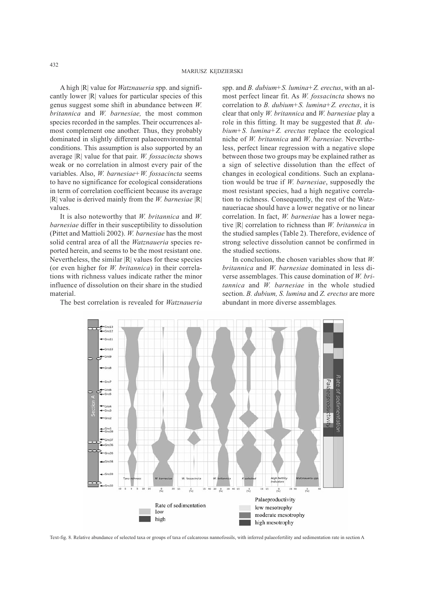A high |R| value for *Watznaueria* spp. and significantly lower |R| values for particular species of this genus suggest some shift in abundance between *W. britannica* and *W. barnesiae,* the most common species recorded in the samples. Their occurrences almost complement one another. Thus, they probably dominated in slightly different palaeoenvironmental conditions. This assumption is also supported by an average |R| value for that pair. *W. fossacincta* shows weak or no correlation in almost every pair of the variables. Also, *W. barnesiae+W. fossacincta* seems to have no significance for ecological considerations in term of correlation coefficient because its average |R| value is derived mainly from the *W. barnesiae* |R| values.

It is also noteworthy that *W. britannica* and *W. barnesiae* differ in their susceptibility to dissolution (Pittet and Mattioli 2002). *W. barnesiae* has the most solid central area of all the *Watznaueria* species reported herein, and seems to be the most resistant one. Nevertheless, the similar  $|R|$  values for these species (or even higher for *W. britannica*) in their correlations with richness values indicate rather the minor influence of dissolution on their share in the studied material.

The best correlation is revealed for *Watznaueria*

spp. and *B. dubium+S. lumina+Z. erectus*, with an almost perfect linear fit. As *W. fossacincta* shows no correlation to *B. dubium+S. lumina+Z. erectus*, it is clear that only *W. britannica* and *W. barnesiae* play a role in this fitting. It may be suggested that *B. dubium+S. lumina+Z. erectus* replace the ecological niche of *W. britannica* and *W. barnesiae.* Nevertheless, perfect linear regression with a negative slope between those two groups may be explained rather as a sign of selective dissolution than the effect of changes in ecological conditions. Such an explanation would be true if *W. barnesiae*, supposedly the most resistant species, had a high negative correlation to richness. Consequently, the rest of the Watznaueriacae should have a lower negative or no linear correlation. In fact, *W. barnesiae* has a lower negative |R| correlation to richness than *W. britannica* in the studied samples (Table 2). Therefore, evidence of strong selective dissolution cannot be confirmed in the studied sections.

In conclusion, the chosen variables show that *W. britannica* and *W. barnesiae* dominated in less diverse assemblages. This cause domination of *W. britannica* and *W. barnesiae* in the whole studied section. *B. dubium, S. lumina* and *Z. erectus* are more abundant in more diverse assemblages*.*



Text-fig. 8. Relative abundance of selected taxa or groups of taxa of calcareous nannofossils, with inferred palaeofertility and sedimentation rate in section A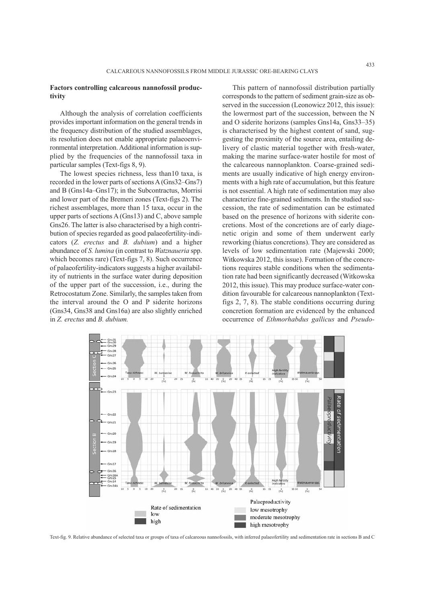## **Factors controlling calcareous nannofossil productivity**

Although the analysis of correlation coefficients provides important information on the general trends in the frequency distribution of the studied assemblages, its resolution does not enable appropriate palaeoenvironmental interpretation. Additional information is supplied by the frequencies of the nannofossil taxa in particular samples (Text-figs 8, 9).

The lowest species richness, less than10 taxa, is recorded in the lower parts of sections A (Gns32–Gns7) and B (Gns14a–Gns17); in the Subcontractus, Morrisi and lower part of the Bremeri zones (Text-figs 2). The richest assemblages, more than 15 taxa, occur in the upper parts of sections A (Gns13) and C, above sample Gns26. The latter is also characterised by a high contribution of species regarded as good palaeofertility-indicators (*Z. erectus* and *B. dubium*) and a higher abundance of *S. lumina* (in contrast to *Watznaueria* spp. which becomes rare) (Text-figs 7, 8). Such occurrence of palaeofertility-indicators suggests a higher availability of nutrients in the surface water during deposition of the upper part of the succession, i.e., during the Retrocostatum Zone. Similarly, the samples taken from the interval around the O and P siderite horizons (Gns34, Gns38 and Gns16a) are also slightly enriched in *Z. erectus* and *B. dubium.*

This pattern of nannofossil distribution partially corresponds to the pattern of sediment grain-size as observed in the succession (Leonowicz 2012, this issue): the lowermost part of the succession, between the N and O siderite horizons (samples Gns14a, Gns33–35) is characterised by the highest content of sand, suggesting the proximity of the source area, entailing delivery of clastic material together with fresh-water, making the marine surface-water hostile for most of the calcareous nannoplankton. Coarse-grained sediments are usually indicative of high energy environments with a high rate of accumulation, but this feature is not essential. A high rate of sedimentation may also characterize fine-grained sediments. In the studied succession, the rate of sedimentation can be estimated based on the presence of horizons with siderite concretions. Most of the concretions are of early diagenetic origin and some of them underwent early reworking (hiatus concretions). They are considered as levels of low sedimentation rate (Majewski 2000; Witkowska 2012, this issue). Formation of the concretions requires stable conditions when the sedimentation rate had been significantly decreased (Witkowska 2012, this issue). This may produce surface-water condition favourable for calcareous nannoplankton (Textfigs 2, 7, 8). The stable conditions occurring during concretion formation are evidenced by the enhanced occurrence of *Ethmorhabdus gallicus* and *Pseudo-*



Text-fig. 9. Relative abundance of selected taxa or groups of taxa of calcareous nannofossils, with inferred palaeofertility and sedimentation rate in sections B and C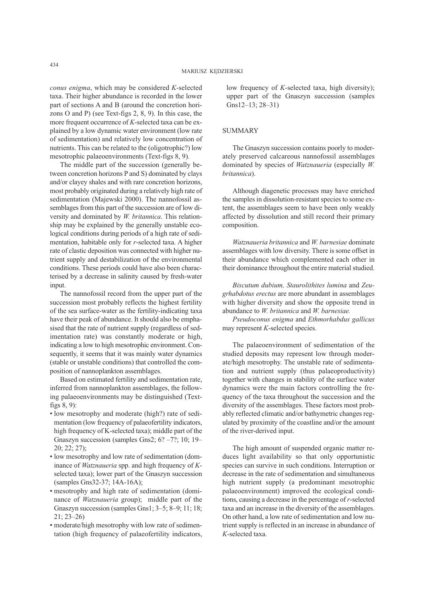*conus enigma*, which may be considered *K*-selected taxa. Their higher abundance is recorded in the lower part of sections A and B (around the concretion horizons O and P) (see Text-figs 2, 8, 9). In this case, the more frequent occurrence of *K*-selected taxa can be explained by a low dynamic water environment (low rate of sedimentation) and relatively low concentration of nutrients. This can be related to the (oligotrophic?) low mesotrophic palaeoenvironments (Text-figs 8, 9).

The middle part of the succession (generally between concretion horizons P and S) dominated by clays and/or clayey shales and with rare concretion horizons, most probably originated during a relatively high rate of sedimentation (Majewski 2000). The nannofossil assemblages from this part of the succession are of low diversity and dominated by *W. britannica*. This relationship may be explained by the generally unstable ecological conditions during periods of a high rate of sedimentation, habitable only for *r*-selected taxa. A higher rate of clastic deposition was connected with higher nutrient supply and destabilization of the environmental conditions. These periods could have also been characterised by a decrease in salinity caused by fresh-water input.

The nannofossil record from the upper part of the succession most probably reflects the highest fertility of the sea surface-water as the fertility-indicating taxa have their peak of abundance. It should also be emphasised that the rate of nutrient supply (regardless of sedimentation rate) was constantly moderate or high, indicating a low to high mesotrophic environment. Consequently, it seems that it was mainly water dynamics (stable or unstable conditions) that controlled the composition of nannoplankton assemblages.

Based on estimated fertility and sedimentation rate, inferred from nannoplankton assemblages, the following palaeoenvironments may be distinguished (Textfigs 8, 9):

- low mesotrophy and moderate (high?) rate of sedimentation (low frequency of palaeofertility indicators, high frequency of K-selected taxa); middle part of the Gnaszyn succession (samples Gns2; 6? –7?; 10; 19– 20; 22; 27);
- low mesotrophy and low rate of sedimentation (dominance of *Watznaueria* spp. and high frequency of *K*selected taxa); lower part of the Gnaszyn succession (samples Gns32-37; 14A-16A);
- mesotrophy and high rate of sedimentation (dominance of *Watznaueria* group); middle part of the Gnaszyn succession (samples Gns1; 3–5; 8–9; 11; 18; 21; 23–26)
- moderate/high mesotrophy with low rate of sedimentation (high frequency of palaeofertility indicators,

low frequency of *K*-selected taxa, high diversity); upper part of the Gnaszyn succession (samples Gns12–13; 28–31)

# SUMMARY

The Gnaszyn succession contains poorly to moderately preserved calcareous nannofossil assemblages dominated by species of *Watznaueria* (especially *W. britannica*).

Although diagenetic processes may have enriched the samples in dissolution-resistant species to some extent, the assemblages seem to have been only weakly affected by dissolution and still record their primary composition.

*Watznaueria britannica* and *W. barnesiae* dominate assemblages with low diversity. There is some offset in their abundance which complemented each other in their dominance throughout the entire material studied.

*Biscutum dubium, Staurolithites lumina* and *Zeugrhabdotus erectus* are more abundant in assemblages with higher diversity and show the opposite trend in abundance to *W. britannica* and *W. barnesiae.* 

*Pseudoconus enigma* and *Ethmorhabdus gallicus* may represent *K*-selected species.

The palaeoenvironment of sedimentation of the studied deposits may represent low through moderate/high mesotrophy. The unstable rate of sedimentation and nutrient supply (thus palaeoproductivity) together with changes in stability of the surface water dynamics were the main factors controlling the frequency of the taxa throughout the succession and the diversity of the assemblages. These factors most probably reflected climatic and/or bathymetric changes regulated by proximity of the coastline and/or the amount of the river-derived input.

The high amount of suspended organic matter reduces light availability so that only opportunistic species can survive in such conditions. Interruption or decrease in the rate of sedimentation and simultaneous high nutrient supply (a predominant mesotrophic palaeoenvironment) improved the ecological conditions, causing a decrease in the percentage of *r*-selected taxa and an increase in the diversity of the assemblages. On other hand, a low rate of sedimentation and low nutrient supply is reflected in an increase in abundance of *K*-selected taxa.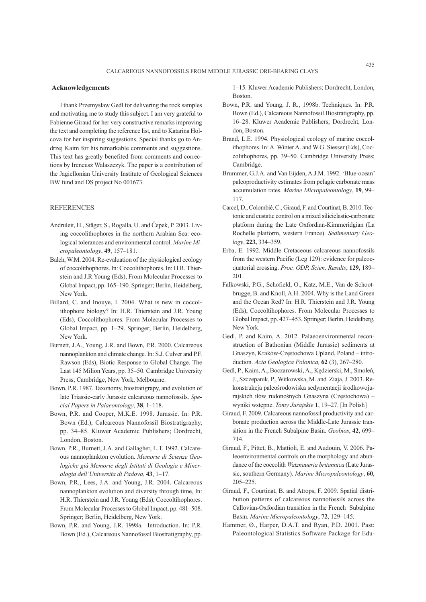#### **Acknowledgements**

I thank Przemysław Gedl for delivering the rock samples and motivating me to study this subject. I am very grateful to Fabienne Giraud for her very constructive remarks improving the text and completing the reference list, and to Katarina Holcova for her inspiring suggestions. Special thanks go to Andrzej Kaim for his remarkable comments and suggestions. This text has greatly benefited from comments and corrections by Ireneusz Walaszczyk. The paper is a contribution of the Jagiellonian University Institute of Geological Sciences BW fund and DS project No 001673.

# **REFERENCES**

- Andruleit, H., Stäger, S., Rogalla, U. and Čepek, P. 2003. Living coccolithophores in the northern Arabian Sea: ecological tolerances and environmental control. *Marine Micropaleontology*, **49**, 157–181.
- Balch, W.M. 2004. Re-evaluation of the physiological ecology of coccolithophores. In: Coccolithophores. In: H.R. Thierstein and J.R Young (Eds), From Molecular Processes to Global Impact, pp. 165–190. Springer; Berlin, Heidelberg, New York.
- Billard, C. and Inouye, I. 2004. What is new in coccolithophore biology? In: H.R. Thierstein and J.R. Young (Eds), Coccolithophores. From Molecular Processes to Global Impact, pp. 1–29. Springer; Berlin, Heidelberg, New York.
- Burnett, J.A., Young, J.R. and Bown, P.R. 2000. Calcareous nannoplankton and climate change. In: S.J. Culver and P.F. Rawson (Eds), Biotic Response to Global Change. The Last 145 Milion Years, pp. 35–50. Cambridge University Press; Cambridge, New York, Melbourne.
- Bown, P.R. 1987. Taxonomy, biostratigrapy, and evolution of late Triassic-early Jurassic calcareous nannofossils. *Special Papers in Palaeontology*, **38**, 1–118.
- Bown, P.R. and Cooper, M.K.E. 1998. Jurassic. In: P.R. Bown (Ed.), Calcareous Nannofossil Biostratigraphy, pp. 34–85. Kluwer Academic Publishers; Dordrecht, London, Boston.
- Bown, P.R., Burnett, J.A. and Gallagher, L.T. 1992. Calcareous nannoplankton evolution. *Memorie di Scienze Geologiche già Memorie degli Istituti di Geologia e Mineralogia dell'Universita di Padova*, **43**, 1–17.
- Bown, P.R., Lees, J.A. and Young, J.R. 2004. Calcareous nannoplankton evolution and diversity through time, In: H.R. Thierstein and J.R. Young (Eds), Coccoltihophores. From Molecular Processes to Global Impact, pp. 481–508. Springer; Berlin, Heidelberg, New York.
- Bown, P.R. and Young, J.R. 1998a. Introduction. In: P.R. Bown (Ed.), Calcareous Nannofossil Biostratigraphy, pp.

1–15. Kluwer Academic Publishers; Dordrecht, London, Boston.

- Bown, P.R. and Young, J. R., 1998b. Techniques. In: P.R. Bown (Ed.), Calcareous Nannofossil Biostratigraphy, pp. 16–28. Kluwer Academic Publishers; Dordrecht, London, Boston.
- Brand, L.E. 1994. Physiological ecology of marine coccolithophores. In: A. Winter A. and W.G. Siesser (Eds), Coccolithophores, pp. 39–50. Cambridge University Press; Cambridge.
- Brummer, G.J.A. and Van Eijden, A.J.M. 1992. 'Blue-ocean' paleoproductivity estimates from pelagic carbonate mass accumulation rates. *Marine Micropaleontology*, **19**, 99– 117.
- Carcel, D., Colombié, C., Giraud, F. and Courtinat, B. 2010. Tectonic and eustatic control on a mixed siliciclastic-carbonate platform during the Late Oxfordian-Kimmeridgian (La Rochelle platform, western France). *Sedimentary Geology*, **223,** 334–359.
- Erba, E. 1992. Middle Cretaceous calcareous nannofossils from the western Pacific (Leg 129): evidence for paleoequatorial crossing. *Proc. ODP, Scien. Results*, **129,** 189– 201.
- Falkowski, P.G., Schofield, O., Katz, M.E., Van de Schootbrugge, B. and Knoll, A.H. 2004. Why is the Land Green and the Ocean Red? In: H.R. Thierstein and J.R. Young (Eds), Coccoltihophores. From Molecular Processes to Global Impact, pp. 427–453. Springer; Berlin, Heidelberg, New York.
- Gedl, P. and Kaim, A. 2012. Palaeoenvironmental reconstruction of Bathonian (Middle Jurassic) sediments at Gnaszyn, Kraków-Częstochowa Upland, Poland – introduction. *Acta Geologica Polonica,* **62** (3), 267–280.
- Gedl, P., Kaim, A., Boczarowski, A., Kędzierski, M., Smoleń, J., Szczepanik, P., Witkowska, M. and Ziaja, J. 2003. Rekonstrukcja paleośrodowiska sedymentacji środkowojurajskich iłów rudonośnych Gnaszyna (Częstochowa) – wyniki wstępne. *Tomy Jurajskie* **1**, 19–27. [In Polish]
- Giraud, F. 2009. Calcareous nannofossil productivity and carbonate production across the Middle-Late Jurassic transition in the French Subalpine Basin. *Geobios*, **42**, 699– 714.
- Giraud, F., Pittet, B., Mattioli, E. and Audouin, V. 2006. Paleoenvironmental controls on the morphology and abundance of the coccolith *Watznaueria britannica* (Late Jurassic, southern Germany). *Marine Micropaleontology*, **60**, 205–225.
- Giraud, F., Courtinat, B. and Atrops, F. 2009. Spatial distribution patterns of calcareous nannofossils across the Callovian-Oxfordian transition in the French Subalpine Basin. *Marine Micropaleontology*, **72**, 129–145.
- Hammer, Ø., Harper, D.A.T. and Ryan, P.D. 2001. Past: Paleontological Statistics Software Package for Edu-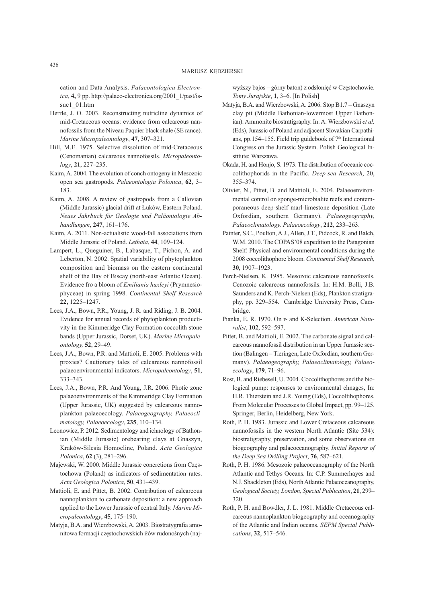cation and Data Analysis. *Palaeontologica Electronica,* **4,** 9 pp. http://palaeo-electronica.org/2001\_1/past/issue1\_01.htm

- Herrle, J. O. 2003. Reconstructing nutricline dynamics of mid-Cretaceous oceans: evidence from calcareous nannofossils from the Niveau Paquier black shale (SE rance). *Marine Micropaleontology*, **47,** 307–321.
- Hill, M.E. 1975. Selective dissolution of mid-Cretaceous (Cenomanian) calcareous nannofossils. *Micropaleontology*, **21**, 227–235.
- Kaim, A. 2004. The evolution of conch ontogeny in Mesozoic open sea gastropods. *Palaeontologia Polonica*, **62**, 3– 183.
- Kaim, A. 2008. A review of gastropods from a Callovian (Middle Jurassic) glacial drift at Łuków, Eastern Poland. *Neues Jahrbuch für Geologie und Paläontologie Abhandlungen*, **247**, 161–176.
- Kaim, A. 2011. Non-actualistic wood-fall associations from Middle Jurassic of Poland. *Lethaia*, **44**, 109–124.
- Lampert, L., Queguiner, B., Labasque, T., Pichon, A. and Leberton, N. 2002. Spatial variability of phytoplankton composition and biomass on the eastern continental shelf of the Bay of Biscay (north-east Atlantic Ocean). Evidence fro a bloom of *Emiliania huxleyi* (Prymnesiophyceae) in spring 1998. *Continental Shelf Research* **22,** 1225–1247.
- Lees, J.A., Bown, P.R., Young, J. R. and Riding, J. B. 2004. Evidence for annual records of phytoplankton productivity in the Kimmeridge Clay Formation coccolith stone bands (Upper Jurassic, Dorset, UK). *Marine Micropaleontology,* **52**, 29–49.
- Lees, J.A., Bown, P.R. and Mattioli, E. 2005. Problems with proxies? Cautionary tales of calcareous nannofossil palaeoenvironmental indicators. *Micropaleontology*, **51**, 333–343.
- Lees, J.A., Bown, P.R. And Young, J.R. 2006. Photic zone palaeoenvironments of the Kimmeridge Clay Formation (Upper Jurassic, UK) suggested by calcareous nannoplankton palaeoecology. *Palaeogeography, Palaeoclimatology, Palaeoecology*, **235**, 110–134.
- Leonowicz, P. 2012. Sedimentology and ichnology of Bathonian (Middle Jurassic) orebearing clays at Gnaszyn, Kraków-Silesia Homocline, Poland. *Acta Geologica Polonica*, **62** (3), 281–296.
- Majewski, W. 2000. Middle Jurassic concretions from Częstochowa (Poland) as indicators of sedimentation rates. *Acta Geologica Polonica*, **50**, 431–439.
- Mattioli, E. and Pittet, B. 2002. Contribution of calcareous nannoplankton to carbonate deposition: a new approach applied to the Lower Jurassic of central Italy. *Marine Micropaleontology*, **45**, 175–190.
- Matyja, B.A. and Wierzbowski, A. 2003. Biostratygrafia amonitowa formacji częstochowskich iłów rudonośnych (naj-

wyższy bajos – górny baton) z odsłonięć w Częstochowie. *Tomy Jurajskie*, **1**, 3–6. [In Polish]

- Matyja, B.A. and Wierzbowski, A. 2006. Stop B1.7 Gnaszyn clay pit (Middle Bathonian-lowermost Upper Bathonian). Ammonite biostratigraphy. In: A. Wierzbowski *et al.* (Eds), Jurassic of Poland and adjacent Slovakian Carpathians, pp.154–155. Field trip guidebook of 7<sup>th</sup> International Congress on the Jurassic System. Polish Geological Institute; Warszawa.
- Okada, H. and Honjo, S. 1973. The distribution of oceanic coccolithophorids in the Pacific. *Deep-sea Research*, 20, 355–374.
- Olivier, N., Pittet, B. and Mattioli, E. 2004. Palaeoenvironmental control on sponge-microbialite reefs and contemporaneous deep-shelf marl-limestone deposition (Late Oxfordian, southern Germany). *Palaeogeography, Palaeoclimatology, Palaeoecology*, **212**, 233–263.
- Painter, S.C., Poulton, A.J., Allen, J.T., Pidcock, R. and Balch, W.M. 2010. The COPAS'08 expedition to the Patagonian Shelf: Physical and environmental conditions during the 2008 coccolithophore bloom. *Continental Shelf Research*, **30**, 1907–1923.
- Perch-Nielsen, K. 1985. Mesozoic calcareous nannofossils. Cenozoic calcareous nannofossils. In: H.M. Bolli, J.B. Saunders and K. Perch-Nielsen (Eds), Plankton stratigraphy, pp. 329–554. Cambridge University Press, Cambridge.
- Pianka, E. R. 1970. On r- and K-Selection. *American Naturalist*, **102**, 592–597.
- Pittet, B. and Mattioli, E. 2002. The carbonate signal and calcareous nannofossil distribution in an Upper Jurassic section (Balingen – Tieringen, Late Oxfordian, southern Germany). *Palaeogeography, Palaeoclimatology, Palaeoecology*, **179**, 71–96.
- Rost, B. and Riebesell, U. 2004. Coccolithophores and the biological pump: responses to environmental chnages, In: H.R. Thierstein and J.R. Young (Eds), Coccoltihophores. From Molecular Processes to Global Impact, pp. 99–125. Springer, Berlin, Heidelberg, New York.
- Roth, P. H. 1983. Jurassic and Lower Cretaceous calcareous nannofossils in the western North Atlantic (Site 534): biostratigraphy, preservation, and some observations on biogeography and palaeoceanography. *Initial Reports of the Deep Sea Drilling Project*, **76**, 587–621.
- Roth, P. H. 1986. Mesozoic palaeoceanography of the North Atlantic and Tethys Oceans. In: C.P. Summerhayes and N.J. Shackleton (Eds), North Atlantic Palaeoceanography, *Geological Society, London, Special Publication*, **21**, 299– 320.
- Roth, P. H. and Bowdler, J. L. 1981. Middle Cretaceous calcareous nannoplankton biogeography and oceanography of the Atlantic and Indian oceans. *SEPM Special Publications*, **32**, 517–546.